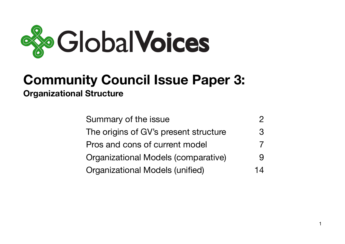

# **Community Council Issue Paper 3: Organizational Structure**

| Summary of the issue                       |               |
|--------------------------------------------|---------------|
| The origins of GV's present structure      | $\mathcal{R}$ |
| Pros and cons of current model             |               |
| <b>Organizational Models (comparative)</b> |               |
| <b>Organizational Models (unified)</b>     | 14            |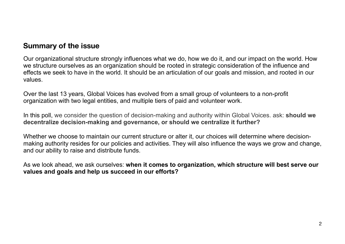## <span id="page-1-0"></span>**Summary of the issue**

Our organizational structure strongly influences what we do, how we do it, and our impact on the world. How we structure ourselves as an organization should be rooted in strategic consideration of the influence and effects we seek to have in the world. It should be an articulation of our goals and mission, and rooted in our values.

Over the last 13 years, Global Voices has evolved from a small group of volunteers to a non-profit organization with two legal entities, and multiple tiers of paid and volunteer work.

In this poll, we consider the question of decision-making and authority within Global Voices. ask: **should we decentralize decision-making and governance, or should we centralize it further?**

Whether we choose to maintain our current structure or alter it, our choices will determine where decisionmaking authority resides for our policies and activities. They will also influence the ways we grow and change, and our ability to raise and distribute funds.

As we look ahead, we ask ourselves: **when it comes to organization, which structure will best serve our values and goals and help us succeed in our efforts?**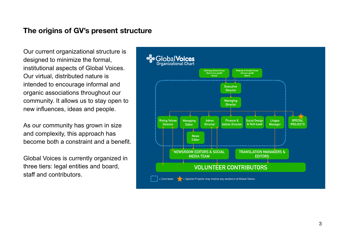### <span id="page-2-0"></span>**The origins of GV's present structure**

Our current organizational structure is designed to minimize the formal, institutional aspects of Global Voices. Our virtual, distributed nature is intended to encourage informal and organic associations throughout our community. It allows us to stay open to new influences, ideas and people.

As our community has grown in size and complexity, this approach has become both a constraint and a benefit.

Global Voices is currently organized in three tiers: legal entities and board, staff and contributors.

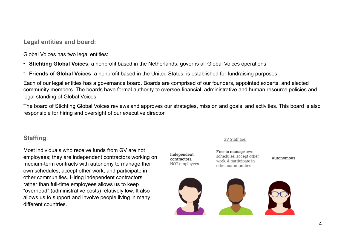**Legal entities and board:** 

Global Voices has two legal entities:

- **Stichting Global Voices**, a nonprofit based in the Netherlands, governs all Global Voices operations
- **Friends of Global Voices**, a nonprofit based in the United States, is established for fundraising purposes

Each of our legal entities has a governance board. Boards are comprised of our founders, appointed experts, and elected community members. The boards have formal authority to oversee financial, administrative and human resource policies and legal standing of Global Voices.

The board of Stichting Global Voices reviews and approves our strategies, mission and goals, and activities. This board is also responsible for hiring and oversight of our executive director.

Independent

contractors.

### **Staffing**:

Most individuals who receive funds from GV are not employees; they are independent contractors working on medium-term contracts with autonomy to manage their own schedules, accept other work, and participate in other communities. Hiring independent contractors rather than full-time employees allows us to keep "overhead" (administrative costs) relatively low. It also allows us to support and involve people living in many different countries.

#### GV Staff are:

Free to manage own schedules, accept other work, & participate in NOT employees other communities

Autonomous

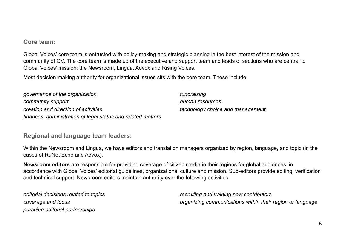### **Core team:**

Global Voices' core team is entrusted with policy-making and strategic planning in the best interest of the mission and community of GV. The core team is made up of the executive and support team and leads of sections who are central to Global Voices' mission: the Newsroom, Lingua, Advox and Rising Voices.

Most decision-making authority for organizational issues sits with the core team. These include:

*governance of the organization community support creation and direction of activities finances; administration of legal status and related matters fundraising human resources technology choice and management*

### **Regional and language team leaders:**

Within the Newsroom and Lingua, we have editors and translation managers organized by region, language, and topic (in the cases of RuNet Echo and Advox).

**Newsroom editors** are responsible for providing coverage of citizen media in their regions for global audiences, in accordance with Global Voices' editorial guidelines, organizational culture and mission. Sub-editors provide editing, verification and technical support. Newsroom editors maintain authority over the following activities:

*editorial decisions related to topics coverage and focus pursuing editorial partnerships* 

*recruiting and training new contributors organizing communications within their region or language*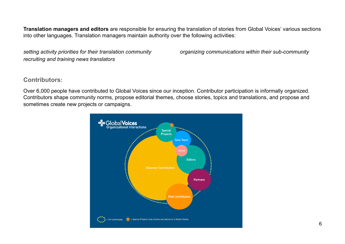**Translation managers and editors** are responsible for ensuring the translation of stories from Global Voices' various sections into other languages. Translation managers maintain authority over the following activities:

*setting activity priorities for their translation community recruiting and training news translators* 

*organizing communications within their sub-community*

### **Contributors:**

Over 6,000 people have contributed to Global Voices since our inception. Contributor participation is informally organized. Contributors shape community norms, propose editorial themes, choose stories, topics and translations, and propose and sometimes create new projects or campaigns.

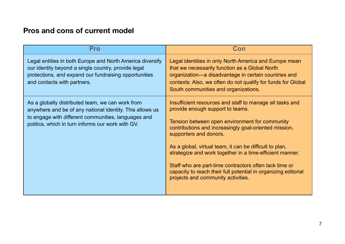## <span id="page-6-0"></span>**Pros and cons of current model**

| <b>Pro</b>                                                                                                                                                                                                               | Con                                                                                                                                                                                                                                                                                                                                                                                                                                                                                                                        |
|--------------------------------------------------------------------------------------------------------------------------------------------------------------------------------------------------------------------------|----------------------------------------------------------------------------------------------------------------------------------------------------------------------------------------------------------------------------------------------------------------------------------------------------------------------------------------------------------------------------------------------------------------------------------------------------------------------------------------------------------------------------|
| Legal entities in both Europe and North America diversify<br>our identity beyond a single country, provide legal<br>protections, and expand our fundraising opportunities<br>and contacts with partners.                 | Legal identities in only North America and Europe mean<br>that we necessarily function as a Global North<br>organization—a disadvantage in certain countries and<br>contexts. Also, we often do not qualify for funds for Global<br>South communities and organizations.                                                                                                                                                                                                                                                   |
| As a globally distributed team, we can work from<br>anywhere and be of any national identity. This allows us<br>to engage with different communities, languages and<br>politics, which in turn informs our work with GV. | Insufficient resources and staff to manage all tasks and<br>provide enough support to teams.<br>Tension between open environment for community<br>contributions and increasingly goal-oriented mission,<br>supporters and donors.<br>As a global, virtual team, it can be difficult to plan,<br>strategize and work together in a time-efficient manner.<br>Staff who are part-time contractors often lack time or<br>capacity to reach their full potential in organizing editorial<br>projects and community activities. |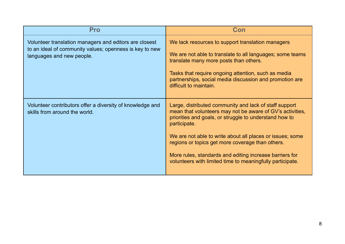| <b>Pro</b>                                                                                                                                     | Con                                                                                                                                                                                                                                                                                                                                                                                                                                    |
|------------------------------------------------------------------------------------------------------------------------------------------------|----------------------------------------------------------------------------------------------------------------------------------------------------------------------------------------------------------------------------------------------------------------------------------------------------------------------------------------------------------------------------------------------------------------------------------------|
| Volunteer translation managers and editors are closest<br>to an ideal of community values; openness is key to new<br>languages and new people. | We lack resources to support translation managers<br>We are not able to translate to all languages; some teams<br>translate many more posts than others.<br>Tasks that require ongoing attention, such as media<br>partnerships, social media discussion and promotion are<br>difficult to maintain.                                                                                                                                   |
| Volunteer contributors offer a diversity of knowledge and<br>skills from around the world.                                                     | Large, distributed community and lack of staff support<br>mean that volunteers may not be aware of GV's activities,<br>priorities and goals, or struggle to understand how to<br>participate.<br>We are not able to write about all places or issues; some<br>regions or topics get more coverage than others.<br>More rules, standards and editing increase barriers for<br>volunteers with limited time to meaningfully participate. |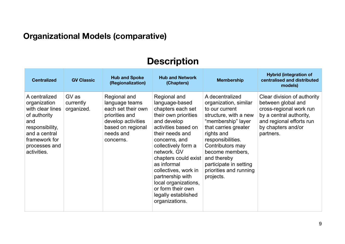## <span id="page-8-0"></span>**Organizational Models (comparative)**

# **Description**

| <b>Centralized</b>                                                                                                                                            | <b>GV Classic</b>                | <b>Hub and Spoke</b><br>(Regionalization)                                                                                                   | <b>Hub and Network</b><br>(Chapters)                                                                                                                                                                                                                                                                                                                                 | <b>Membership</b>                                                                                                                                                                                                                                                                           | <b>Hybrid (integration of</b><br>centralised and distributed<br>models)                                                                                                |
|---------------------------------------------------------------------------------------------------------------------------------------------------------------|----------------------------------|---------------------------------------------------------------------------------------------------------------------------------------------|----------------------------------------------------------------------------------------------------------------------------------------------------------------------------------------------------------------------------------------------------------------------------------------------------------------------------------------------------------------------|---------------------------------------------------------------------------------------------------------------------------------------------------------------------------------------------------------------------------------------------------------------------------------------------|------------------------------------------------------------------------------------------------------------------------------------------------------------------------|
| A centralized<br>organization<br>with clear lines<br>of authority<br>and<br>responsibility,<br>and a central<br>framework for<br>processes and<br>activities. | GV as<br>currently<br>organized. | Regional and<br>language teams<br>each set their own<br>priorities and<br>develop activities<br>based on regional<br>needs and<br>concerns. | Regional and<br>language-based<br>chapters each set<br>their own priorities<br>and develop<br>activities based on<br>their needs and<br>concerns, and<br>collectively form a<br>network. GV<br>chapters could exist<br>as informal<br>collectives, work in<br>partnership with<br>local organizations,<br>or form their own<br>legally established<br>organizations. | A decentralized<br>organization, similar<br>to our current<br>structure, with a new<br>"membership" layer<br>that carries greater<br>rights and<br>responsibilities.<br>Contributors may<br>become members,<br>and thereby<br>participate in setting<br>priorities and running<br>projects. | Clear division of authority<br>between global and<br>cross-regional work run<br>by a central authority,<br>and regional efforts run<br>by chapters and/or<br>partners. |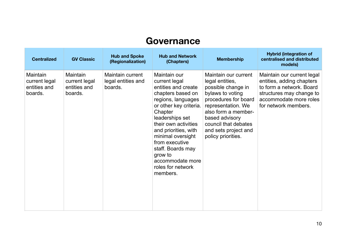# **Governance**

| <b>Centralized</b>                                   | <b>GV Classic</b>                                    | <b>Hub and Spoke</b><br>(Regionalization)         | <b>Hub and Network</b><br>(Chapters)                                                                                                                                                                                                                                                                                                | <b>Membership</b>                                                                                                                                                                                                                              | <b>Hybrid (integration of</b><br>centralised and distributed<br>models)                                                                                           |
|------------------------------------------------------|------------------------------------------------------|---------------------------------------------------|-------------------------------------------------------------------------------------------------------------------------------------------------------------------------------------------------------------------------------------------------------------------------------------------------------------------------------------|------------------------------------------------------------------------------------------------------------------------------------------------------------------------------------------------------------------------------------------------|-------------------------------------------------------------------------------------------------------------------------------------------------------------------|
| Maintain<br>current legal<br>entities and<br>boards. | Maintain<br>current legal<br>entities and<br>boards. | Maintain current<br>legal entities and<br>boards. | Maintain our<br>current legal<br>entities and create<br>chapters based on<br>regions, languages<br>or other key criteria.<br>Chapter<br>leaderships set<br>their own activities<br>and priorities, with<br>minimal oversight<br>from executive<br>staff. Boards may<br>grow to<br>accommodate more<br>roles for network<br>members. | Maintain our current<br>legal entities,<br>possible change in<br>bylaws to voting<br>procedures for board<br>representation. We<br>also form a member-<br>based advisory<br>council that debates<br>and sets project and<br>policy priorities. | Maintain our current legal<br>entities, adding chapters<br>to form a network. Board<br>structures may change to<br>accommodate more roles<br>for network members. |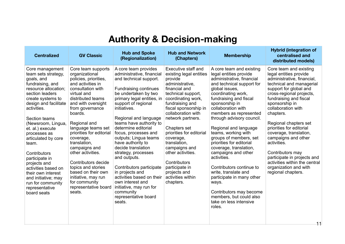# **Authority & Decision-making**

| <b>Centralized</b>                                                                                                                                                                                                                                                                                                                                                                                                                                                      | <b>GV Classic</b>                                                                                                                                                                                                                                                                                                                                                                                                                                                                 | <b>Hub and Spoke</b><br>(Regionalization)                                                                                                                                                                                                                                                                                                                                                                                                                                                                                                                                                        | <b>Hub and Network</b><br>(Chapters)                                                                                                                                                                                                                                                                                                                                                                                                | <b>Membership</b>                                                                                                                                                                                                                                                                                                                                                                                                                                                                                                                                                                                                                       | <b>Hybrid (integration of</b><br>centralised and<br>distributed models)                                                                                                                                                                                                                                                                                                                                                                                                                                 |
|-------------------------------------------------------------------------------------------------------------------------------------------------------------------------------------------------------------------------------------------------------------------------------------------------------------------------------------------------------------------------------------------------------------------------------------------------------------------------|-----------------------------------------------------------------------------------------------------------------------------------------------------------------------------------------------------------------------------------------------------------------------------------------------------------------------------------------------------------------------------------------------------------------------------------------------------------------------------------|--------------------------------------------------------------------------------------------------------------------------------------------------------------------------------------------------------------------------------------------------------------------------------------------------------------------------------------------------------------------------------------------------------------------------------------------------------------------------------------------------------------------------------------------------------------------------------------------------|-------------------------------------------------------------------------------------------------------------------------------------------------------------------------------------------------------------------------------------------------------------------------------------------------------------------------------------------------------------------------------------------------------------------------------------|-----------------------------------------------------------------------------------------------------------------------------------------------------------------------------------------------------------------------------------------------------------------------------------------------------------------------------------------------------------------------------------------------------------------------------------------------------------------------------------------------------------------------------------------------------------------------------------------------------------------------------------------|---------------------------------------------------------------------------------------------------------------------------------------------------------------------------------------------------------------------------------------------------------------------------------------------------------------------------------------------------------------------------------------------------------------------------------------------------------------------------------------------------------|
| Core management<br>team sets strategy,<br>goals, and<br>fundraising, and<br>resource allocation;<br>section leaders<br>create systems to<br>design and facilitate<br>activities.<br>Section teams<br>(Newsroom, Lingua,<br>et. al.) execute<br>processes as<br>articulated by core<br>team.<br>Contributors<br>participate in<br>projects and<br>activities based on<br>their own interest<br>and initiative; may<br>run for community<br>representative<br>board seats | Core team supports<br>organizational<br>policies, priorities,<br>and activities in<br>consultation with<br>virtual and<br>distributed teams<br>and with oversight<br>from governance<br>boards.<br>Regional and<br>language teams set<br>priorities for editorial<br>coverage,<br>translation,<br>campaigns and<br>other activities.<br>Contributors decide<br>topics and stories<br>based on their own<br>initiative, may run<br>for community<br>representative board<br>seats. | A core team provides<br>administrative, financial<br>and technical support.<br><b>Fundraising continues</b><br>be undertaken by two<br>primary legal entities, in<br>support of regional<br>initiatives.<br>Regional and language<br>teams have authority to<br>determine editorial<br>focus, processes and<br>outputs; Lingua teams<br>have authority to<br>decide translation<br>strategy, processes<br>and outputs.<br>Contributors participate<br>in projects and<br>activities based on their<br>own interest and<br>initiative, may run for<br>community<br>representative board<br>seats. | Executive staff and<br>existing legal entities<br>provide<br>administrative.<br>financial and<br>technical support,<br>coordinating work,<br>fundraising and<br>fiscal sponsorship in<br>collaboration with<br>network partners.<br>Chapters set<br>priorities for editorial<br>coverage,<br>translation,<br>campaigns and<br>other activities.<br>Contributors<br>participate in<br>projects and<br>activities within<br>chapters. | A core team and existing<br>legal entities provide<br>administrative, financial<br>and technical support for<br>global issues,<br>coordinating work,<br>fundraising and fiscal<br>sponsorship in<br>collaboration with<br>members as represented<br>through advisory council.<br>Regional and language<br>teams, working with<br>groups of members, set<br>priorities for editorial<br>coverage, translation,<br>campaigns and other<br>activities.<br>Contributors continue to<br>write, translate and<br>participate in many other<br>ways.<br>Contributors may become<br>members, but could also<br>take on less intensive<br>roles. | Core team and existing<br>legal entities provide<br>administrative, financial,<br>technical and managerial<br>support for global and<br>cross-regional projects,<br>fundraising and fiscal<br>sponsorship in<br>collaboration with<br>chapters.<br>Regional chapters set<br>priorities for editorial<br>coverage, translation,<br>campaigns and other<br>activities.<br>Contributors may<br>participate in projects and<br>activities within the central<br>organization and with<br>regional chapters. |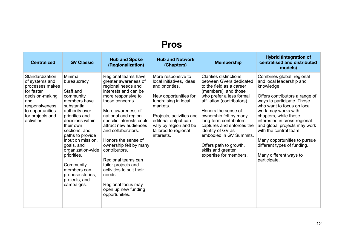# **Pros**

| <b>Centralized</b>                                                                                                                                                    | <b>GV Classic</b>                                                                                                                                                                                                                                                                                                                                | <b>Hub and Spoke</b><br>(Regionalization)                                                                                                                                                                                                                                                                                                                                                                                                                                      | <b>Hub and Network</b><br>(Chapters)                                                                                                                                                                                                              | <b>Membership</b>                                                                                                                                                                                                                                                                                                                                                                                         | <b>Hybrid (integration of</b><br>centralised and distributed<br>models)                                                                                                                                                                                                                                                                                                                                              |
|-----------------------------------------------------------------------------------------------------------------------------------------------------------------------|--------------------------------------------------------------------------------------------------------------------------------------------------------------------------------------------------------------------------------------------------------------------------------------------------------------------------------------------------|--------------------------------------------------------------------------------------------------------------------------------------------------------------------------------------------------------------------------------------------------------------------------------------------------------------------------------------------------------------------------------------------------------------------------------------------------------------------------------|---------------------------------------------------------------------------------------------------------------------------------------------------------------------------------------------------------------------------------------------------|-----------------------------------------------------------------------------------------------------------------------------------------------------------------------------------------------------------------------------------------------------------------------------------------------------------------------------------------------------------------------------------------------------------|----------------------------------------------------------------------------------------------------------------------------------------------------------------------------------------------------------------------------------------------------------------------------------------------------------------------------------------------------------------------------------------------------------------------|
| Standardization<br>of systems and<br>processes makes<br>for faster<br>decision-making<br>and<br>responsiveness<br>to opportunities<br>for projects and<br>activities. | Minimal<br>bureaucracy.<br>Staff and<br>community<br>members have<br>substantial<br>authority over<br>priorities and<br>decisions within<br>their own<br>sections, and<br>paths to provide<br>input on mission,<br>goals, and<br>organization-wide<br>priorities.<br>Community<br>members can<br>propose stories,<br>projects, and<br>campaigns. | Regional teams have<br>greater awareness of<br>regional needs and<br>interests and can be<br>more responsive to<br>those concerns.<br>More awareness of<br>national and region-<br>specific interests could<br>attract new audiences<br>and collaborators.<br>Honors the sense of<br>ownership felt by many<br>contributors.<br>Regional teams can<br>tailor projects and<br>activities to suit their<br>needs.<br>Regional focus may<br>open up new funding<br>opportunities. | More responsive to<br>local initiatives, ideas<br>and priorities.<br>New opportunities for<br>fundraising in local<br>markets.<br>Projects, activities and<br>editorial output can<br>vary by region and be<br>tailored to regional<br>interests. | <b>Clarifies distinctions</b><br>between GVers dedicated<br>to the field as a career<br>(members), and those<br>who prefer a less formal<br>affiliation (contributors)<br>Honors the sense of<br>ownership felt by many<br>long-term contributors;<br>captures and enforces the<br>identity of GV as<br>embodied in GV Summits.<br>Offers path to growth,<br>skills and greater<br>expertise for members. | Combines global, regional<br>and local leadership and<br>knowledge.<br>Offers contributors a range of<br>ways to participate. Those<br>who want to focus on local<br>work may works with<br>chapters, while those<br>interested in cross-regional<br>and global projects may work<br>with the central team.<br>Many opportunities to pursue<br>different types of funding.<br>Many different ways to<br>participate. |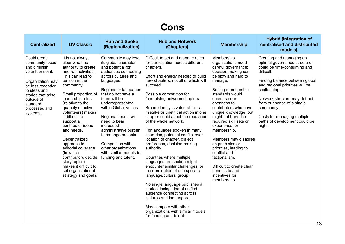# **Cons**

| <b>Centralized</b>                                                                                                                                                                                        | <b>GV Classic</b>                                                                                                                                                                                                                                                                                                                                                                                                                                                                                   | <b>Hub and Spoke</b><br>(Regionalization)                                                                                                                                                                                                                                                                                                                                                                                                | <b>Hub and Network</b><br>(Chapters)                                                                                                                                                                                                                                                                                                                                                                                                                                                                                                                                                                                                                                                                                                                                                                                                                                                                                           | <b>Membership</b>                                                                                                                                                                                                                                                                                                                                                                                                                                                                                                  | <b>Hybrid (integration of</b><br>centralised and distributed<br>models)                                                                                                                                                                                                                                                                                 |
|-----------------------------------------------------------------------------------------------------------------------------------------------------------------------------------------------------------|-----------------------------------------------------------------------------------------------------------------------------------------------------------------------------------------------------------------------------------------------------------------------------------------------------------------------------------------------------------------------------------------------------------------------------------------------------------------------------------------------------|------------------------------------------------------------------------------------------------------------------------------------------------------------------------------------------------------------------------------------------------------------------------------------------------------------------------------------------------------------------------------------------------------------------------------------------|--------------------------------------------------------------------------------------------------------------------------------------------------------------------------------------------------------------------------------------------------------------------------------------------------------------------------------------------------------------------------------------------------------------------------------------------------------------------------------------------------------------------------------------------------------------------------------------------------------------------------------------------------------------------------------------------------------------------------------------------------------------------------------------------------------------------------------------------------------------------------------------------------------------------------------|--------------------------------------------------------------------------------------------------------------------------------------------------------------------------------------------------------------------------------------------------------------------------------------------------------------------------------------------------------------------------------------------------------------------------------------------------------------------------------------------------------------------|---------------------------------------------------------------------------------------------------------------------------------------------------------------------------------------------------------------------------------------------------------------------------------------------------------------------------------------------------------|
| Could erode<br>community focus<br>and diminish<br>volunteer spirit.<br>Organization may<br>be less receptive<br>to ideas and<br>stories that arise<br>outside of<br>standard<br>processes and<br>systems. | It is not always<br>clear who has<br>authority to create<br>and run activities.<br>This can lead to<br>tension in the<br>community.<br>Small proportion of<br>leadership roles<br>(relative to the<br>quantity of active<br>volunteers) makes<br>it difficult to<br>support all<br>contributor ideas<br>and needs.<br>Decentralized<br>approach to<br>editorial coverage<br>(in which<br>contributors decide<br>story topics)<br>makes it difficult to<br>set organizational<br>strategy and goals. | Community may lose<br>its global character<br>and potential for<br>audiences connecting<br>across cultures and<br>languages.<br>Regions or languages<br>that do not have a<br>team will be<br>underrepresented<br>within Global Voices.<br>Regional teams will<br>need to bear<br>increased<br>administrative burden<br>to manage projects.<br>Competition with<br>other organizations<br>with similar models for<br>funding and talent. | Difficult to set and manage rules<br>for participation across different<br>chapters.<br>Effort and energy needed to build<br>new chapters, not all of which will<br>succeed.<br>Possible competition for<br>fundraising between chapters.<br>Brand identity is vulnerable $-$ a<br>mistake or unethical action in one<br>chapter could affect the reputation<br>of the whole network.<br>For languages spoken in many<br>countries, potential conflict over<br>location of chapter, dialect<br>preference, decision-making<br>authority.<br>Countries where multiple<br>languages are spoken might<br>encounter similar challenges, or<br>the domination of one specific<br>language/cultural group.<br>No single language publishes all<br>stories, losing idea of unified<br>audience connecting across<br>cultures and languages.<br>May compete with other<br>organizations with similar models<br>for funding and talent. | Membership<br>organizations need<br>careful governance;<br>decision-making can<br>be slow and hard to<br>manage.<br>Setting membership<br>standards would<br>decrease our<br>openness to<br>contributors who have<br>unique knowledge, but<br>might not have the<br>required skill sets or<br>experience for<br>membership.<br>Members may disagree<br>on principles or<br>priorities, leading to<br>conflict and<br>factionalism.<br>Difficult to create clear<br>benefits to and<br>incentives for<br>membership | Creating and managing an<br>optimal governance structure<br>could be time-consuming and<br>difficult.<br>Finding balance between global<br>and regional priorities will be<br>challenging.<br>Network structure may detract<br>from our sense of a single<br>community.<br>Costs for managing multiple<br>paths of development could be<br>high.<br>1 O |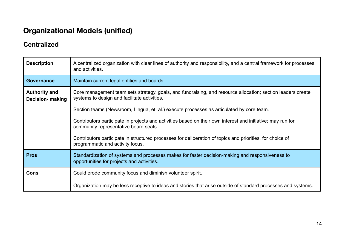## <span id="page-13-0"></span>**Organizational Models (unified)**

## **Centralized**

| <b>Description</b>                              | A centralized organization with clear lines of authority and responsibility, and a central framework for processes<br>and activities.                       |
|-------------------------------------------------|-------------------------------------------------------------------------------------------------------------------------------------------------------------|
| <b>Governance</b>                               | Maintain current legal entities and boards.                                                                                                                 |
| <b>Authority and</b><br><b>Decision-</b> making | Core management team sets strategy, goals, and fundraising, and resource allocation; section leaders create<br>systems to design and facilitate activities. |
|                                                 | Section teams (Newsroom, Lingua, et. al.) execute processes as articulated by core team.                                                                    |
|                                                 | Contributors participate in projects and activities based on their own interest and initiative; may run for<br>community representative board seats         |
|                                                 | Contributors participate in structured processes for deliberation of topics and priorities, for choice of<br>programmatic and activity focus.               |
| <b>Pros</b>                                     | Standardization of systems and processes makes for faster decision-making and responsiveness to<br>opportunities for projects and activities.               |
| Cons                                            | Could erode community focus and diminish volunteer spirit.                                                                                                  |
|                                                 | Organization may be less receptive to ideas and stories that arise outside of standard processes and systems.                                               |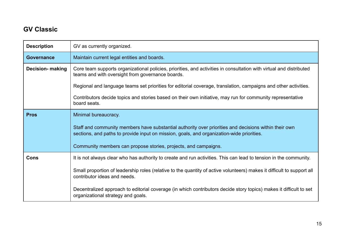## **GV Classic**

| <b>Description</b>      | GV as currently organized.                                                                                                                                                                         |
|-------------------------|----------------------------------------------------------------------------------------------------------------------------------------------------------------------------------------------------|
| <b>Governance</b>       | Maintain current legal entities and boards.                                                                                                                                                        |
| <b>Decision-</b> making | Core team supports organizational policies, priorities, and activities in consultation with virtual and distributed<br>teams and with oversight from governance boards.                            |
|                         | Regional and language teams set priorities for editorial coverage, translation, campaigns and other activities.                                                                                    |
|                         | Contributors decide topics and stories based on their own initiative, may run for community representative<br>board seats.                                                                         |
| <b>Pros</b>             | Minimal bureaucracy.                                                                                                                                                                               |
|                         | Staff and community members have substantial authority over priorities and decisions within their own<br>sections, and paths to provide input on mission, goals, and organization-wide priorities. |
|                         | Community members can propose stories, projects, and campaigns.                                                                                                                                    |
| Cons                    | It is not always clear who has authority to create and run activities. This can lead to tension in the community.                                                                                  |
|                         | Small proportion of leadership roles (relative to the quantity of active volunteers) makes it difficult to support all<br>contributor ideas and needs.                                             |
|                         | Decentralized approach to editorial coverage (in which contributors decide story topics) makes it difficult to set<br>organizational strategy and goals.                                           |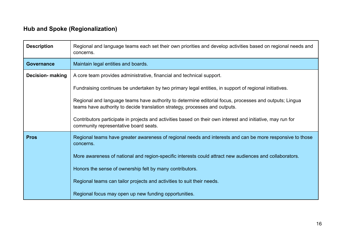## **Hub and Spoke (Regionalization)**

| <b>Description</b>      | Regional and language teams each set their own priorities and develop activities based on regional needs and<br>concerns.                                                             |
|-------------------------|---------------------------------------------------------------------------------------------------------------------------------------------------------------------------------------|
| <b>Governance</b>       | Maintain legal entities and boards.                                                                                                                                                   |
| <b>Decision-</b> making | A core team provides administrative, financial and technical support.                                                                                                                 |
|                         | Fundraising continues be undertaken by two primary legal entities, in support of regional initiatives.                                                                                |
|                         | Regional and language teams have authority to determine editorial focus, processes and outputs; Lingua<br>teams have authority to decide translation strategy, processes and outputs. |
|                         | Contributors participate in projects and activities based on their own interest and initiative, may run for<br>community representative board seats.                                  |
| <b>Pros</b>             | Regional teams have greater awareness of regional needs and interests and can be more responsive to those<br>concerns.                                                                |
|                         | More awareness of national and region-specific interests could attract new audiences and collaborators.                                                                               |
|                         | Honors the sense of ownership felt by many contributors.                                                                                                                              |
|                         | Regional teams can tailor projects and activities to suit their needs.                                                                                                                |
|                         | Regional focus may open up new funding opportunities.                                                                                                                                 |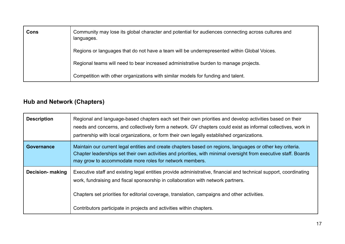| Cons | Community may lose its global character and potential for audiences connecting across cultures and<br>languages. |
|------|------------------------------------------------------------------------------------------------------------------|
|      | Regions or languages that do not have a team will be underrepresented within Global Voices.                      |
|      | Regional teams will need to bear increased administrative burden to manage projects.                             |
|      | Competition with other organizations with similar models for funding and talent.                                 |

## **Hub and Network (Chapters)**

| <b>Description</b> | Regional and language-based chapters each set their own priorities and develop activities based on their<br>needs and concerns, and collectively form a network. GV chapters could exist as informal collectives, work in<br>partnership with local organizations, or form their own legally established organizations.                                                       |
|--------------------|-------------------------------------------------------------------------------------------------------------------------------------------------------------------------------------------------------------------------------------------------------------------------------------------------------------------------------------------------------------------------------|
| Governance         | Maintain our current legal entities and create chapters based on regions, languages or other key criteria.<br>Chapter leaderships set their own activities and priorities, with minimal oversight from executive staff. Boards<br>may grow to accommodate more roles for network members.                                                                                     |
| Decision- making   | Executive staff and existing legal entities provide administrative, financial and technical support, coordinating<br>work, fundraising and fiscal sponsorship in collaboration with network partners.<br>Chapters set priorities for editorial coverage, translation, campaigns and other activities.<br>Contributors participate in projects and activities within chapters. |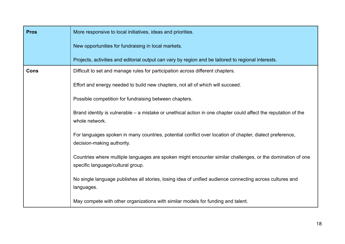| <b>Pros</b> | More responsive to local initiatives, ideas and priorities.                                                                                     |
|-------------|-------------------------------------------------------------------------------------------------------------------------------------------------|
|             | New opportunities for fundraising in local markets.                                                                                             |
|             | Projects, activities and editorial output can vary by region and be tailored to regional interests.                                             |
| Cons        | Difficult to set and manage rules for participation across different chapters.                                                                  |
|             | Effort and energy needed to build new chapters, not all of which will succeed.                                                                  |
|             | Possible competition for fundraising between chapters.                                                                                          |
|             | Brand identity is vulnerable – a mistake or unethical action in one chapter could affect the reputation of the<br>whole network.                |
|             | For languages spoken in many countries, potential conflict over location of chapter, dialect preference,<br>decision-making authority.          |
|             | Countries where multiple languages are spoken might encounter similar challenges, or the domination of one<br>specific language/cultural group. |
|             | No single language publishes all stories, losing idea of unified audience connecting across cultures and<br>languages.                          |
|             | May compete with other organizations with similar models for funding and talent.                                                                |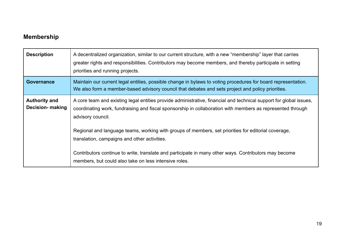## **Membership**

| <b>Description</b>                              | A decentralized organization, similar to our current structure, with a new "membership" layer that carries<br>greater rights and responsibilities. Contributors may become members, and thereby participate in setting<br>priorities and running projects. |
|-------------------------------------------------|------------------------------------------------------------------------------------------------------------------------------------------------------------------------------------------------------------------------------------------------------------|
| <b>Governance</b>                               | Maintain our current legal entities, possible change in bylaws to voting procedures for board representation.<br>We also form a member-based advisory council that debates and sets project and policy priorities.                                         |
| <b>Authority and</b><br><b>Decision- making</b> | A core team and existing legal entities provide administrative, financial and technical support for global issues,<br>coordinating work, fundraising and fiscal sponsorship in collaboration with members as represented through<br>advisory council.      |
|                                                 | Regional and language teams, working with groups of members, set priorities for editorial coverage,<br>translation, campaigns and other activities.                                                                                                        |
|                                                 | Contributors continue to write, translate and participate in many other ways. Contributors may become<br>members, but could also take on less intensive roles.                                                                                             |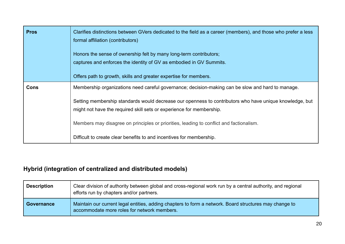| <b>Pros</b> | Clarifies distinctions between GVers dedicated to the field as a career (members), and those who prefer a less<br>formal affiliation (contributors)<br>Honors the sense of ownership felt by many long-term contributors;<br>captures and enforces the identity of GV as embodied in GV Summits.<br>Offers path to growth, skills and greater expertise for members. |
|-------------|----------------------------------------------------------------------------------------------------------------------------------------------------------------------------------------------------------------------------------------------------------------------------------------------------------------------------------------------------------------------|
|             |                                                                                                                                                                                                                                                                                                                                                                      |
| Cons        | Membership organizations need careful governance; decision-making can be slow and hard to manage.                                                                                                                                                                                                                                                                    |
|             | Setting membership standards would decrease our openness to contributors who have unique knowledge, but                                                                                                                                                                                                                                                              |
|             | might not have the required skill sets or experience for membership.                                                                                                                                                                                                                                                                                                 |
|             | Members may disagree on principles or priorities, leading to conflict and factionalism.                                                                                                                                                                                                                                                                              |
|             | Difficult to create clear benefits to and incentives for membership.                                                                                                                                                                                                                                                                                                 |

## **Hybrid (integration of centralized and distributed models)**

| <b>Description</b> | Clear division of authority between global and cross-regional work run by a central authority, and regional<br>efforts run by chapters and/or partners. |
|--------------------|---------------------------------------------------------------------------------------------------------------------------------------------------------|
| <b>Governance</b>  | Maintain our current legal entities, adding chapters to form a network. Board structures may change to<br>accommodate more roles for network members.   |